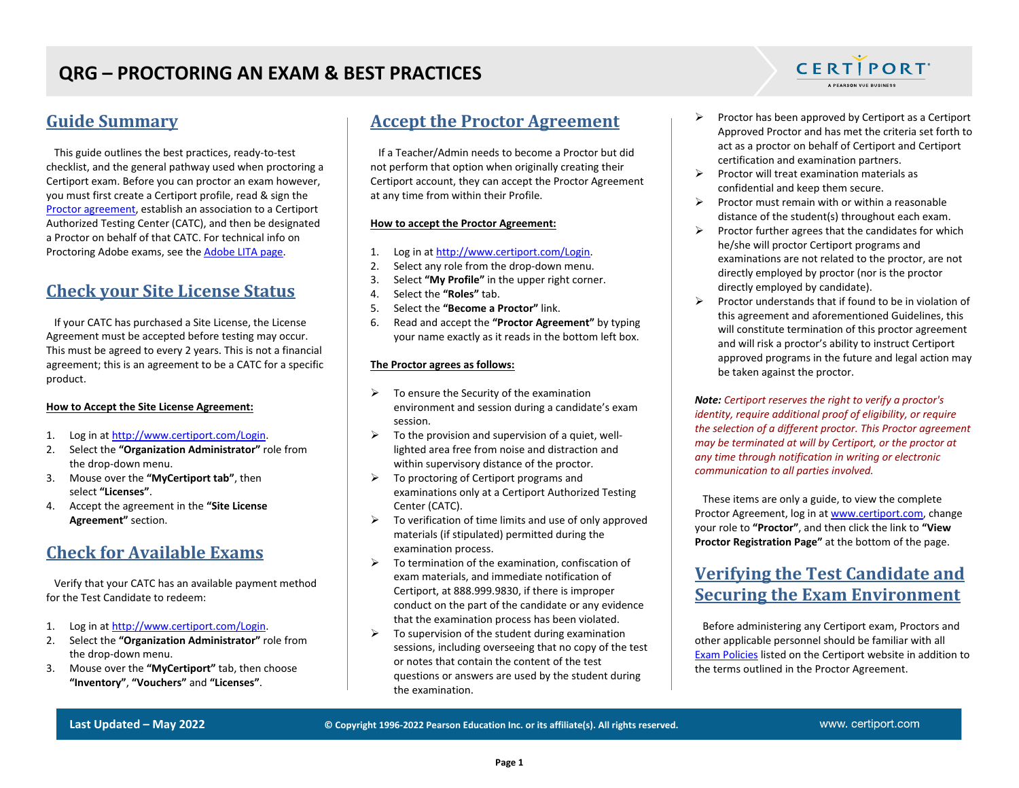### **Guide Summary**

 This guide outlines the best practices, ready-to-test checklist, and the general pathway used when proctoring a Certiport exam. Before you can proctor an exam however, you must first create a Certiport profile, read & sign the Proctor [agreement,](https://certiport.pearsonvue.com/CATCs/Using-your-Test-Candidate-profile?ot=collapsePanel10) establish an association to a Certiport Authorized Testing Center (CATC), and then be designated a Proctor on behalf of that CATC. For technical info on Proctoring Adobe exams, see the [Adobe LITA page.](https://certiport.pearsonvue.com/Support/Install/adobe-program-support)

## **Check your Site License Status**

 If your CATC has purchased a Site License, the License Agreement must be accepted before testing may occur. This must be agreed to every 2 years. This is not a financial agreement; this is an agreement to be a CATC for a specific product.

#### **How to Accept the Site License Agreement:**

- 1. Log in at [http://www.certiport.com/Login.](http://www.certiport.com/Login)
- 2. Select the **"Organization Administrator"** role from the drop-down menu.
- 3. Mouse over the **"MyCertiport tab"**, then select **"Licenses"**.
- 4. Accept the agreement in the **"Site License Agreement"** section.

## **Check for Available Exams**

 Verify that your CATC has an available payment method for the Test Candidate to redeem:

- 1. Log in at [http://www.certiport.com/Login.](http://www.certiport.com/Login)
- 2. Select the **"Organization Administrator"** role from the drop-down menu.
- 3. Mouse over the **"MyCertiport"** tab, then choose **"Inventory"**, **"Vouchers"** and **"Licenses"**.

## **Accept the Proctor Agreement**

 If a Teacher/Admin needs to become a Proctor but did not perform that option when originally creating their Certiport account, they can accept the Proctor Agreement at any time from within their Profile.

#### **How to accept the Proctor Agreement:**

- 1. Log in at [http://www.certiport.com/Login.](http://www.certiport.com/Login)
- 2. Select any role from the drop-down menu.
- 3. Select **"My Profile"** in the upper right corner.
- 4. Select the **"Roles"** tab.
- 5. Select the **"Become a Proctor"** link.
- 6. Read and accept the **"Proctor Agreement"** by typing your name exactly as it reads in the bottom left box.

#### **The Proctor agrees as follows:**

- $\triangleright$  To ensure the Security of the examination environment and session during a candidate's exam session.
- $\triangleright$  To the provision and supervision of a quiet, welllighted area free from noise and distraction and within supervisory distance of the proctor.
- ➢ To proctoring of Certiport programs and examinations only at a Certiport Authorized Testing Center (CATC).
- $\triangleright$  To verification of time limits and use of only approved materials (if stipulated) permitted during the examination process.
- $\triangleright$  To termination of the examination, confiscation of exam materials, and immediate notification of Certiport, at 888.999.9830, if there is improper conduct on the part of the candidate or any evidence that the examination process has been violated.
- $\triangleright$  To supervision of the student during examination sessions, including overseeing that no copy of the test or notes that contain the content of the test questions or answers are used by the student during the examination.

➢ Proctor has been approved by Certiport as a Certiport Approved Proctor and has met the criteria set forth to act as a proctor on behalf of Certiport and Certiport certification and examination partners.

**CERTIPORT** A PEARSON VUE BUSINESS

- $\triangleright$  Proctor will treat examination materials as confidential and keep them secure.
- $\triangleright$  Proctor must remain with or within a reasonable distance of the student(s) throughout each exam.
- $\triangleright$  Proctor further agrees that the candidates for which he/she will proctor Certiport programs and examinations are not related to the proctor, are not directly employed by proctor (nor is the proctor directly employed by candidate).
- $\triangleright$  Proctor understands that if found to be in violation of this agreement and aforementioned Guidelines, this will constitute termination of this proctor agreement and will risk a proctor's ability to instruct Certiport approved programs in the future and legal action may be taken against the proctor.

*Note: Certiport reserves the right to verify a proctor's identity, require additional proof of eligibility, or require the selection of a different proctor. This Proctor agreement may be terminated at will by Certiport, or the proctor at any time through notification in writing or electronic communication to all parties involved.*

 These items are only a guide, to view the complete Proctor Agreement, log in at [www.certiport.com,](https://portal.certiport.com/Login) change your role to **"Proctor"**, and then click the link to **"View Proctor Registration Page"** at the bottom of the page.

## **Verifying the Test Candidate and Securing the Exam Environment**

 Before administering any Certiport exam, Proctors and other applicable personnel should be familiar with all [Exam Policies](https://certiport.pearsonvue.com/Educator-resources/Exam-policies) listed on the Certiport website in addition to the terms outlined in the Proctor Agreement.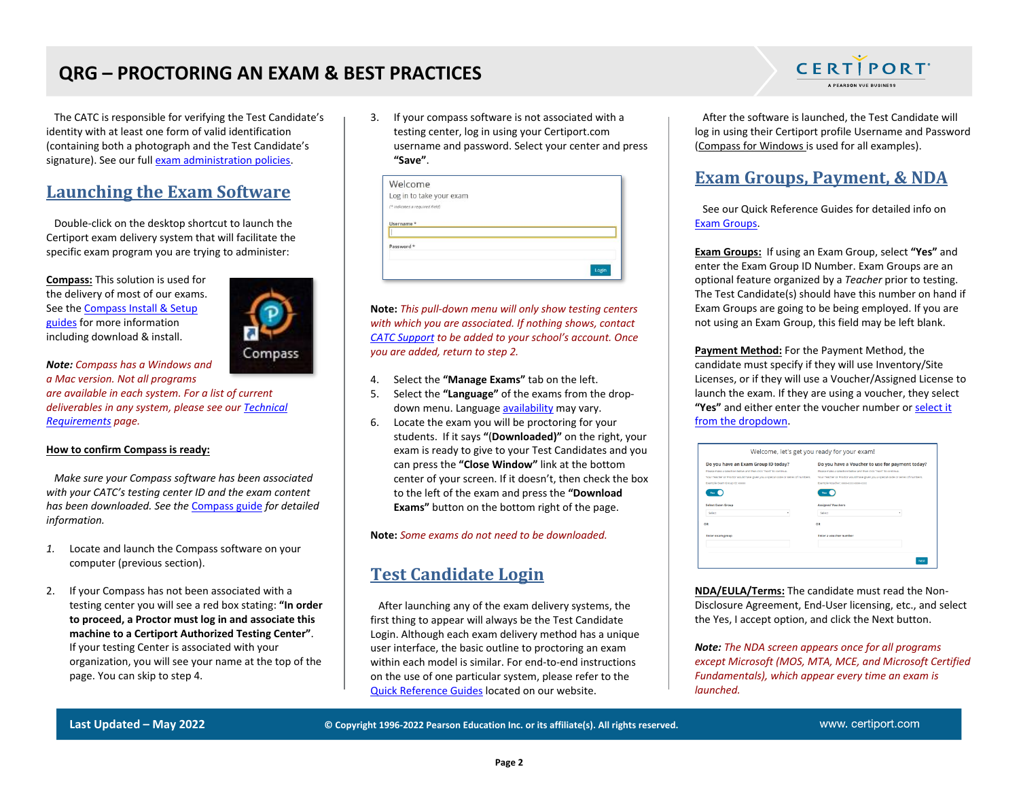# **QRG – PROCTORING AN EXAM & BEST PRACTICES**

 The CATC is responsible for verifying the Test Candidate's identity with at least one form of valid identification (containing both a photograph and the Test Candidate's signature). See our ful[l exam administration policies.](https://certiport.pearsonvue.com/Educator-resources/Exam-policies/Administration)

### **Launching the Exam Software**

 Double-click on the desktop shortcut to launch the Certiport exam delivery system that will facilitate the specific exam program you are trying to administer:

**Compass:** This solution is used for the delivery of most of our exams. See th[e Compass Install & Setup](https://certiport.pearsonvue.com/Support/Quick-reference-guides)  [guides](https://certiport.pearsonvue.com/Support/Quick-reference-guides) for more information including download & install.



*Note: Compass has a Windows and a Mac version. Not all programs are available in each system. For a list of current deliverables in any system, please see ou[r Technical](https://certiport.pearsonvue.com/Support/Technical-requirements)  [Requirements](https://certiport.pearsonvue.com/Support/Technical-requirements) page.*

#### **How to confirm Compass is ready:**

 *Make sure your Compass software has been associated with your CATC's testing center ID and the exam content has been downloaded. See the* [Compass guide](https://certiport.pearsonvue.com/Support/Quick-reference-guides) *for detailed information.*

- *1.* Locate and launch the Compass software on your computer (previous section).
- 2. If your Compass has not been associated with a testing center you will see a red box stating: **"In order to proceed, a Proctor must log in and associate this machine to a Certiport Authorized Testing Center"**. If your testing Center is associated with your organization, you will see your name at the top of the page. You can skip to step 4.

3. If your compass software is not associated with a testing center, log in using your Certiport.com username and password. Select your center and press **"Save"**.

| Login |
|-------|
|       |

**Note:** *This pull-down menu will only show testing centers with which you are associated. If nothing shows, contact [CATC Support](https://certiport.pearsonvue.com/Support.aspx) to be added to your school's account. Once you are added, return to step 2.*

- 4. Select the **"Manage Exams"** tab on the left.
- 5. Select the **"Language"** of the exams from the dropdown menu. Language [availability](https://certiport.pearsonvue.com/Educator-resources/Exam-details/Exam-releases) may vary.
- 6. Locate the exam you will be proctoring for your students. If it says **"**(**Downloaded)"** on the right, your exam is ready to give to your Test Candidates and you can press the **"Close Window"** link at the bottom center of your screen. If it doesn't, then check the box to the left of the exam and press the **"Download Exams"** button on the bottom right of the page.

**Note:** *Some exams do not need to be downloaded.*

## **Test Candidate Login**

 After launching any of the exam delivery systems, the first thing to appear will always be the Test Candidate Login. Although each exam delivery method has a unique user interface, the basic outline to proctoring an exam within each model is similar. For end-to-end instructions on the use of one particular system, please refer to the [Quick Reference Guides](https://certiport.pearsonvue.com/CATCs/Quick-reference-guides) located on our website.



 After the software is launched, the Test Candidate will log in using their Certiport profile Username and Password (Compass for Windows is used for all examples).

## **Exam Groups, Payment, & NDA**

 See our Quick Reference Guides for detailed info on [Exam Groups.](https://certiport.pearsonvue.com/CATCs/Quick-reference-guides)

**Exam Groups:** If using an Exam Group, select **"Yes"** and enter the Exam Group ID Number. Exam Groups are an optional feature organized by a *Teacher* prior to testing. The Test Candidate(s) should have this number on hand if Exam Groups are going to be being employed. If you are not using an Exam Group, this field may be left blank.

**Payment Method:** For the Payment Method, the candidate must specify if they will use Inventory/Site Licenses, or if they will use a Voucher/Assigned License to launch the exam. If they are using a voucher, they select **"Yes"** and either enter the voucher number o[r select it](https://certiport.pearsonvue.com/CATCs/Using-your-Test-Candidate-profile?ot=collapsePanel3)  [from the dropdown.](https://certiport.pearsonvue.com/CATCs/Using-your-Test-Candidate-profile?ot=collapsePanel3)

| Do you have an Exam Group ID today?                                               | Do you have a Voucher to use for payment today?                                   |
|-----------------------------------------------------------------------------------|-----------------------------------------------------------------------------------|
| Please make a selection helow and then click "Next" to continue.                  | Beate make a telerting helpy and then click "Next" to continue.                   |
| Your Teacher or Proctor would have given you a special code or series of numbers. | Your Teacher or Proctor would have given you a special code or series of numbers. |
| Example Exam Group ID: xxxxx                                                      | Example Voucher: coop-coop-coop-coop                                              |
| Yes                                                                               | Ven.                                                                              |
| <b>Select Exam Group</b>                                                          | <b>Assigned Vouchers</b>                                                          |
| Select<br>٠                                                                       | Select                                                                            |
| OR                                                                                | OR                                                                                |
| <b>Enter exam group</b>                                                           | Enter a voucher number                                                            |
|                                                                                   |                                                                                   |
|                                                                                   |                                                                                   |

**NDA/EULA/Terms:** The candidate must read the Non-Disclosure Agreement, End-User licensing, etc., and select the Yes, I accept option, and click the Next button.

*Note: The NDA screen appears once for all programs except Microsoft (MOS, MTA, MCE, and Microsoft Certified Fundamentals), which appear every time an exam is launched.*